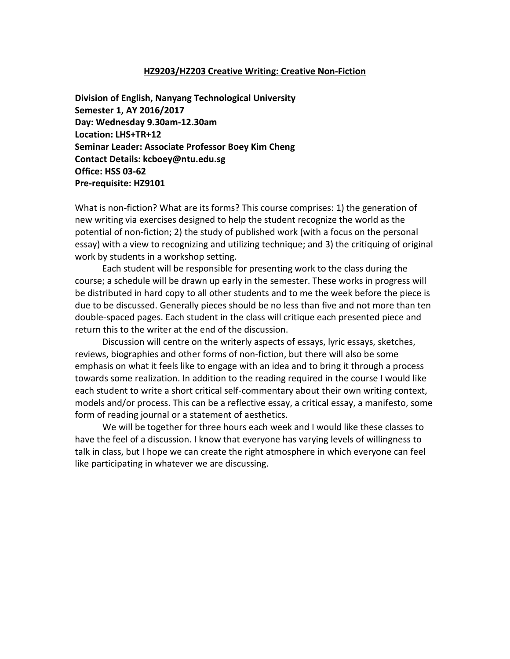#### **HZ9203/HZ203 Creative Writing: Creative Non-Fiction**

**Division of English, Nanyang Technological University Semester 1, AY 2016/2017 Day: Wednesday 9.30am-12.30am Location: LHS+TR+12 Seminar Leader: Associate Professor Boey Kim Cheng Contact Details: kcboey@ntu.edu.sg Office: HSS 03-62 Pre-requisite: HZ9101**

What is non-fiction? What are its forms? This course comprises: 1) the generation of new writing via exercises designed to help the student recognize the world as the potential of non-fiction; 2) the study of published work (with a focus on the personal essay) with a view to recognizing and utilizing technique; and 3) the critiquing of original work by students in a workshop setting.

Each student will be responsible for presenting work to the class during the course; a schedule will be drawn up early in the semester. These works in progress will be distributed in hard copy to all other students and to me the week before the piece is due to be discussed. Generally pieces should be no less than five and not more than ten double-spaced pages. Each student in the class will critique each presented piece and return this to the writer at the end of the discussion.

Discussion will centre on the writerly aspects of essays, lyric essays, sketches, reviews, biographies and other forms of non-fiction, but there will also be some emphasis on what it feels like to engage with an idea and to bring it through a process towards some realization. In addition to the reading required in the course I would like each student to write a short critical self-commentary about their own writing context, models and/or process. This can be a reflective essay, a critical essay, a manifesto, some form of reading journal or a statement of aesthetics.

We will be together for three hours each week and I would like these classes to have the feel of a discussion. I know that everyone has varying levels of willingness to talk in class, but I hope we can create the right atmosphere in which everyone can feel like participating in whatever we are discussing.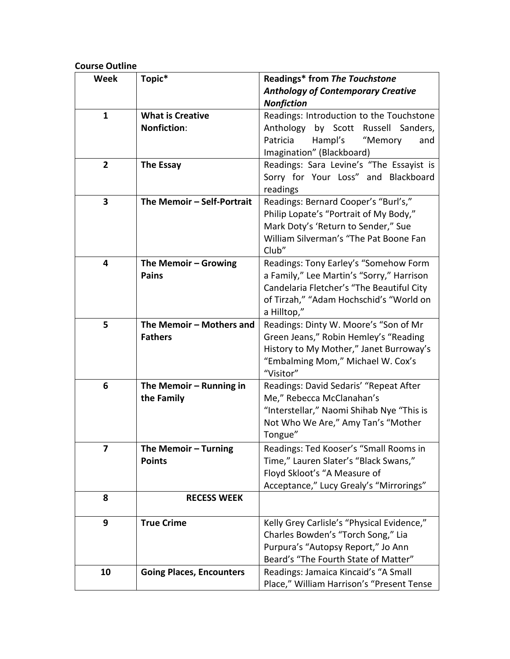# **Course Outline**

| <b>Week</b>    | Topic*                          | Readings* from The Touchstone              |
|----------------|---------------------------------|--------------------------------------------|
|                |                                 | <b>Anthology of Contemporary Creative</b>  |
|                |                                 | <b>Nonfiction</b>                          |
| $\mathbf{1}$   | <b>What is Creative</b>         | Readings: Introduction to the Touchstone   |
|                | <b>Nonfiction:</b>              | Anthology<br>by Scott Russell Sanders,     |
|                |                                 | Patricia<br>Hampl's<br>"Memory<br>and      |
|                |                                 | Imagination" (Blackboard)                  |
| $\overline{2}$ | <b>The Essay</b>                | Readings: Sara Levine's "The Essayist is   |
|                |                                 | Sorry for Your Loss" and Blackboard        |
|                |                                 | readings                                   |
| 3              | The Memoir - Self-Portrait      | Readings: Bernard Cooper's "Burl's,"       |
|                |                                 | Philip Lopate's "Portrait of My Body,"     |
|                |                                 | Mark Doty's 'Return to Sender," Sue        |
|                |                                 | William Silverman's "The Pat Boone Fan     |
|                |                                 | Club"                                      |
| 4              | The Memoir - Growing            | Readings: Tony Earley's "Somehow Form      |
|                | <b>Pains</b>                    | a Family," Lee Martin's "Sorry," Harrison  |
|                |                                 | Candelaria Fletcher's "The Beautiful City  |
|                |                                 | of Tirzah," "Adam Hochschid's "World on    |
|                |                                 | a Hilltop,"                                |
| 5              | The Memoir - Mothers and        | Readings: Dinty W. Moore's "Son of Mr      |
|                | <b>Fathers</b>                  | Green Jeans," Robin Hemley's "Reading      |
|                |                                 | History to My Mother," Janet Burroway's    |
|                |                                 | "Embalming Mom," Michael W. Cox's          |
|                |                                 | "Visitor"                                  |
| 6              | The Memoir - Running in         | Readings: David Sedaris' "Repeat After     |
|                | the Family                      | Me," Rebecca McClanahan's                  |
|                |                                 | "Interstellar," Naomi Shihab Nye "This is  |
|                |                                 | Not Who We Are," Amy Tan's "Mother         |
|                |                                 | Tongue"                                    |
| 7              | The Memoir - Turning            | Readings: Ted Kooser's "Small Rooms in     |
|                | <b>Points</b>                   | Time," Lauren Slater's "Black Swans,"      |
|                |                                 | Floyd Skloot's "A Measure of               |
|                |                                 | Acceptance," Lucy Grealy's "Mirrorings"    |
| 8              | <b>RECESS WEEK</b>              |                                            |
|                |                                 |                                            |
| 9              | <b>True Crime</b>               | Kelly Grey Carlisle's "Physical Evidence," |
|                |                                 | Charles Bowden's "Torch Song," Lia         |
|                |                                 | Purpura's "Autopsy Report," Jo Ann         |
|                |                                 | Beard's "The Fourth State of Matter"       |
| 10             | <b>Going Places, Encounters</b> | Readings: Jamaica Kincaid's "A Small       |
|                |                                 | Place," William Harrison's "Present Tense  |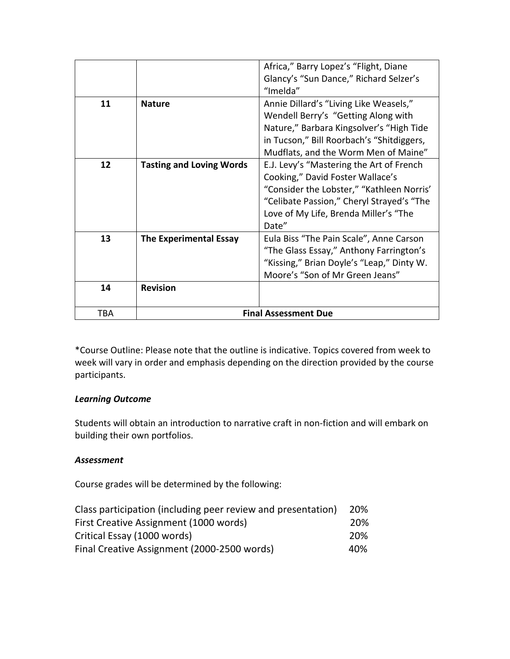|     |                                 | Africa," Barry Lopez's "Flight, Diane     |
|-----|---------------------------------|-------------------------------------------|
|     |                                 | Glancy's "Sun Dance," Richard Selzer's    |
|     |                                 | "Imelda"                                  |
| 11  | <b>Nature</b>                   | Annie Dillard's "Living Like Weasels,"    |
|     |                                 | Wendell Berry's "Getting Along with       |
|     |                                 | Nature," Barbara Kingsolver's "High Tide  |
|     |                                 | in Tucson," Bill Roorbach's "Shitdiggers, |
|     |                                 | Mudflats, and the Worm Men of Maine"      |
| 12  | <b>Tasting and Loving Words</b> | E.J. Levy's "Mastering the Art of French  |
|     |                                 | Cooking," David Foster Wallace's          |
|     |                                 | "Consider the Lobster," "Kathleen Norris' |
|     |                                 | "Celibate Passion," Cheryl Strayed's "The |
|     |                                 | Love of My Life, Brenda Miller's "The     |
|     |                                 | Date"                                     |
| 13  | <b>The Experimental Essay</b>   | Eula Biss "The Pain Scale", Anne Carson   |
|     |                                 | "The Glass Essay," Anthony Farrington's   |
|     |                                 | "Kissing," Brian Doyle's "Leap," Dinty W. |
|     |                                 | Moore's "Son of Mr Green Jeans"           |
| 14  | <b>Revision</b>                 |                                           |
|     |                                 |                                           |
| TBA |                                 | <b>Final Assessment Due</b>               |

\*Course Outline: Please note that the outline is indicative. Topics covered from week to week will vary in order and emphasis depending on the direction provided by the course participants.

# *Learning Outcome*

Students will obtain an introduction to narrative craft in non-fiction and will embark on building their own portfolios.

#### *Assessment*

Course grades will be determined by the following:

| Class participation (including peer review and presentation) |     |  |
|--------------------------------------------------------------|-----|--|
| First Creative Assignment (1000 words)                       | 20% |  |
| Critical Essay (1000 words)                                  | 20% |  |
| Final Creative Assignment (2000-2500 words)                  | 40% |  |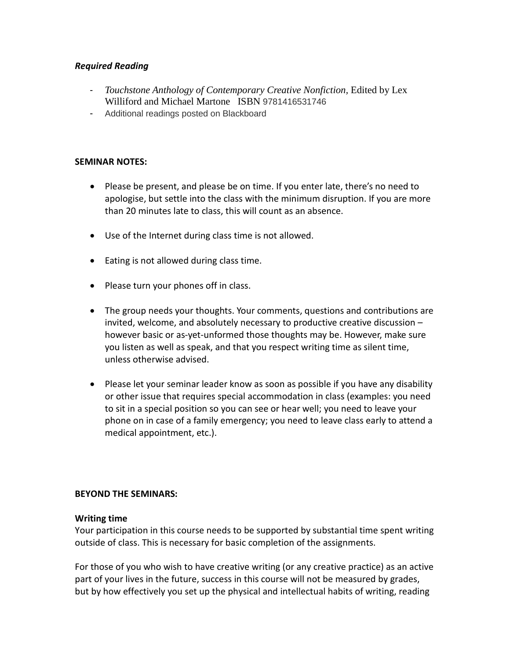#### *Required Reading*

- *Touchstone Anthology of Contemporary Creative Nonfiction, Edited by Lex* Williford and Michael Martone ISBN 9781416531746
- Additional readings posted on Blackboard

#### **SEMINAR NOTES:**

- Please be present, and please be on time. If you enter late, there's no need to apologise, but settle into the class with the minimum disruption. If you are more than 20 minutes late to class, this will count as an absence.
- Use of the Internet during class time is not allowed.
- Eating is not allowed during class time.
- Please turn your phones off in class.
- The group needs your thoughts. Your comments, questions and contributions are invited, welcome, and absolutely necessary to productive creative discussion – however basic or as-yet-unformed those thoughts may be. However, make sure you listen as well as speak, and that you respect writing time as silent time, unless otherwise advised.
- Please let your seminar leader know as soon as possible if you have any disability or other issue that requires special accommodation in class (examples: you need to sit in a special position so you can see or hear well; you need to leave your phone on in case of a family emergency; you need to leave class early to attend a medical appointment, etc.).

#### **BEYOND THE SEMINARS:**

#### **Writing time**

Your participation in this course needs to be supported by substantial time spent writing outside of class. This is necessary for basic completion of the assignments.

For those of you who wish to have creative writing (or any creative practice) as an active part of your lives in the future, success in this course will not be measured by grades, but by how effectively you set up the physical and intellectual habits of writing, reading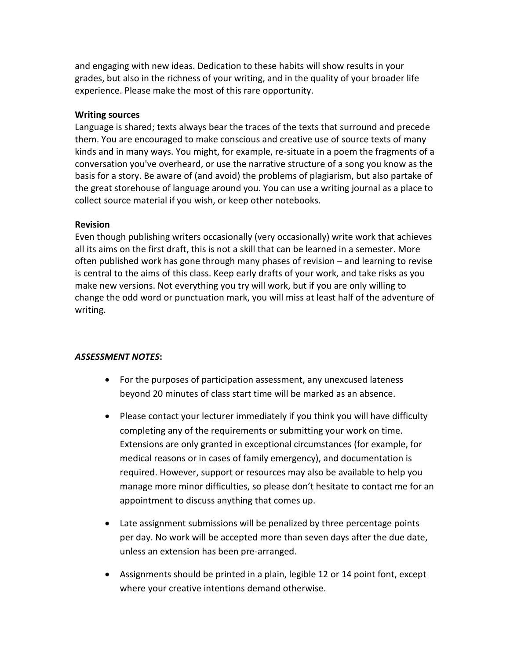and engaging with new ideas. Dedication to these habits will show results in your grades, but also in the richness of your writing, and in the quality of your broader life experience. Please make the most of this rare opportunity.

#### **Writing sources**

Language is shared; texts always bear the traces of the texts that surround and precede them. You are encouraged to make conscious and creative use of source texts of many kinds and in many ways. You might, for example, re-situate in a poem the fragments of a conversation you've overheard, or use the narrative structure of a song you know as the basis for a story. Be aware of (and avoid) the problems of plagiarism, but also partake of the great storehouse of language around you. You can use a writing journal as a place to collect source material if you wish, or keep other notebooks.

### **Revision**

Even though publishing writers occasionally (very occasionally) write work that achieves all its aims on the first draft, this is not a skill that can be learned in a semester. More often published work has gone through many phases of revision – and learning to revise is central to the aims of this class. Keep early drafts of your work, and take risks as you make new versions. Not everything you try will work, but if you are only willing to change the odd word or punctuation mark, you will miss at least half of the adventure of writing.

# *ASSESSMENT NOTES***:**

- For the purposes of participation assessment, any unexcused lateness beyond 20 minutes of class start time will be marked as an absence.
- Please contact your lecturer immediately if you think you will have difficulty completing any of the requirements or submitting your work on time. Extensions are only granted in exceptional circumstances (for example, for medical reasons or in cases of family emergency), and documentation is required. However, support or resources may also be available to help you manage more minor difficulties, so please don't hesitate to contact me for an appointment to discuss anything that comes up.
- Late assignment submissions will be penalized by three percentage points per day. No work will be accepted more than seven days after the due date, unless an extension has been pre-arranged.
- Assignments should be printed in a plain, legible 12 or 14 point font, except where your creative intentions demand otherwise.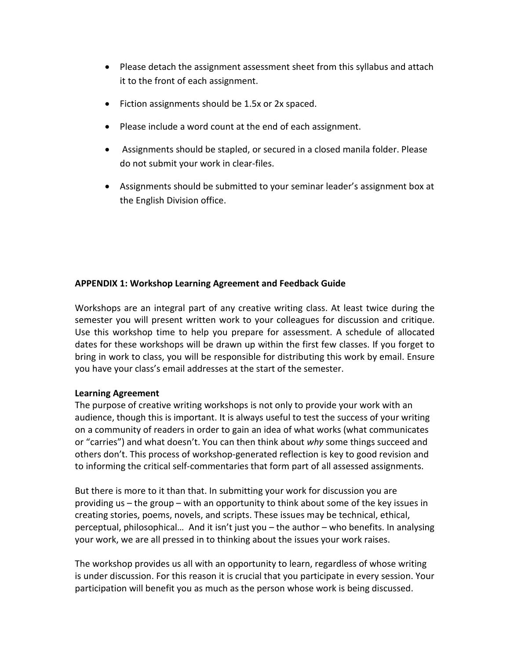- Please detach the assignment assessment sheet from this syllabus and attach it to the front of each assignment.
- Fiction assignments should be 1.5x or 2x spaced.
- Please include a word count at the end of each assignment.
- Assignments should be stapled, or secured in a closed manila folder. Please do not submit your work in clear-files.
- Assignments should be submitted to your seminar leader's assignment box at the English Division office.

### **APPENDIX 1: Workshop Learning Agreement and Feedback Guide**

Workshops are an integral part of any creative writing class. At least twice during the semester you will present written work to your colleagues for discussion and critique. Use this workshop time to help you prepare for assessment. A schedule of allocated dates for these workshops will be drawn up within the first few classes. If you forget to bring in work to class, you will be responsible for distributing this work by email. Ensure you have your class's email addresses at the start of the semester.

#### **Learning Agreement**

The purpose of creative writing workshops is not only to provide your work with an audience, though this is important. It is always useful to test the success of your writing on a community of readers in order to gain an idea of what works (what communicates or "carries") and what doesn't. You can then think about *why* some things succeed and others don't. This process of workshop-generated reflection is key to good revision and to informing the critical self-commentaries that form part of all assessed assignments.

But there is more to it than that. In submitting your work for discussion you are providing us – the group – with an opportunity to think about some of the key issues in creating stories, poems, novels, and scripts. These issues may be technical, ethical, perceptual, philosophical… And it isn't just you – the author – who benefits. In analysing your work, we are all pressed in to thinking about the issues your work raises.

The workshop provides us all with an opportunity to learn, regardless of whose writing is under discussion. For this reason it is crucial that you participate in every session. Your participation will benefit you as much as the person whose work is being discussed.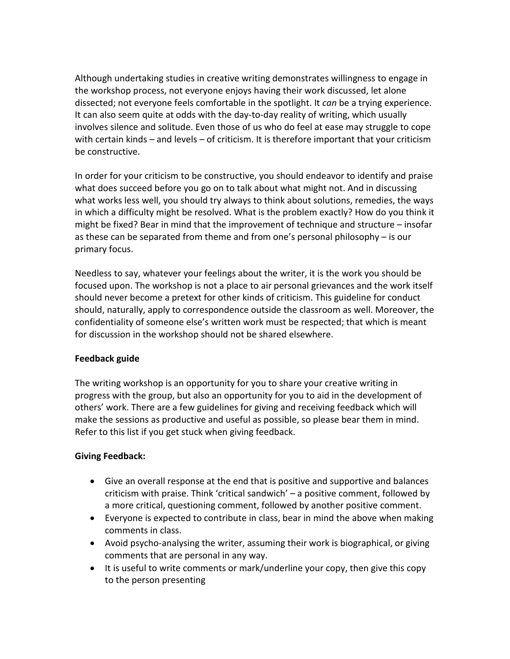Although undertaking studies in creative writing demonstrates willingness to engage in the workshop process, not everyone enjoys having their work discussed, let alone dissected; not everyone feels comfortable in the spotlight. It *can* be a trying experience. It can also seem quite at odds with the day-to-day reality of writing, which usually involves silence and solitude. Even those of us who do feel at ease may struggle to cope with certain kinds – and levels – of criticism. It is therefore important that your criticism be constructive.

In order for your criticism to be constructive, you should endeavor to identify and praise what does succeed before you go on to talk about what might not. And in discussing what works less well, you should try always to think about solutions, remedies, the ways in which a difficulty might be resolved. What is the problem exactly? How do you think it might be fixed? Bear in mind that the improvement of technique and structure – insofar as these can be separated from theme and from one's personal philosophy – is our primary focus.

Needless to say, whatever your feelings about the writer, it is the work you should be focused upon. The workshop is not a place to air personal grievances and the work itself should never become a pretext for other kinds of criticism. This guideline for conduct should, naturally, apply to correspondence outside the classroom as well. Moreover, the confidentiality of someone else's written work must be respected; that which is meant for discussion in the workshop should not be shared elsewhere.

# **Feedback guide**

The writing workshop is an opportunity for you to share your creative writing in progress with the group, but also an opportunity for you to aid in the development of others' work. There are a few guidelines for giving and receiving feedback which will make the sessions as productive and useful as possible, so please bear them in mind. Refer to this list if you get stuck when giving feedback.

# **Giving Feedback:**

- Give an overall response at the end that is positive and supportive and balances criticism with praise. Think 'critical sandwich' – a positive comment, followed by a more critical, questioning comment, followed by another positive comment.
- Everyone is expected to contribute in class, bear in mind the above when making comments in class.
- Avoid psycho-analysing the writer, assuming their work is biographical, or giving comments that are personal in any way.
- It is useful to write comments or mark/underline your copy, then give this copy to the person presenting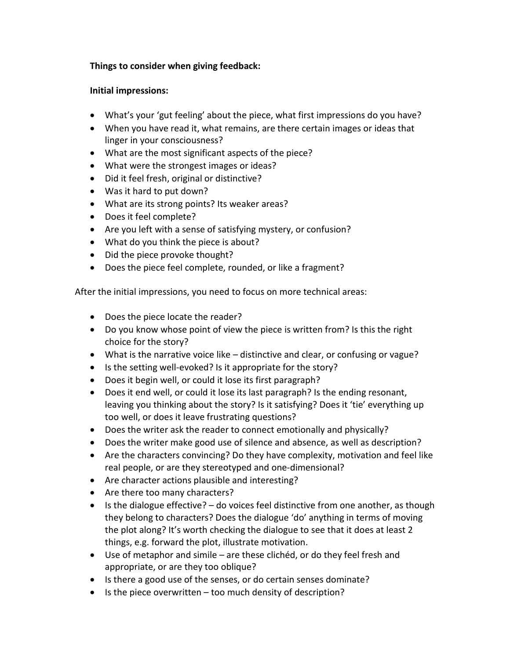### **Things to consider when giving feedback:**

#### **Initial impressions:**

- What's your 'gut feeling' about the piece, what first impressions do you have?
- When you have read it, what remains, are there certain images or ideas that linger in your consciousness?
- What are the most significant aspects of the piece?
- What were the strongest images or ideas?
- Did it feel fresh, original or distinctive?
- Was it hard to put down?
- What are its strong points? Its weaker areas?
- Does it feel complete?
- Are you left with a sense of satisfying mystery, or confusion?
- What do you think the piece is about?
- Did the piece provoke thought?
- Does the piece feel complete, rounded, or like a fragment?

After the initial impressions, you need to focus on more technical areas:

- Does the piece locate the reader?
- Do you know whose point of view the piece is written from? Is this the right choice for the story?
- What is the narrative voice like distinctive and clear, or confusing or vague?
- Is the setting well-evoked? Is it appropriate for the story?
- Does it begin well, or could it lose its first paragraph?
- Does it end well, or could it lose its last paragraph? Is the ending resonant, leaving you thinking about the story? Is it satisfying? Does it 'tie' everything up too well, or does it leave frustrating questions?
- Does the writer ask the reader to connect emotionally and physically?
- Does the writer make good use of silence and absence, as well as description?
- Are the characters convincing? Do they have complexity, motivation and feel like real people, or are they stereotyped and one-dimensional?
- Are character actions plausible and interesting?
- Are there too many characters?
- $\bullet$  Is the dialogue effective?  $-$  do voices feel distinctive from one another, as though they belong to characters? Does the dialogue 'do' anything in terms of moving the plot along? It's worth checking the dialogue to see that it does at least 2 things, e.g. forward the plot, illustrate motivation.
- Use of metaphor and simile are these clichéd, or do they feel fresh and appropriate, or are they too oblique?
- Is there a good use of the senses, or do certain senses dominate?
- Is the piece overwritten too much density of description?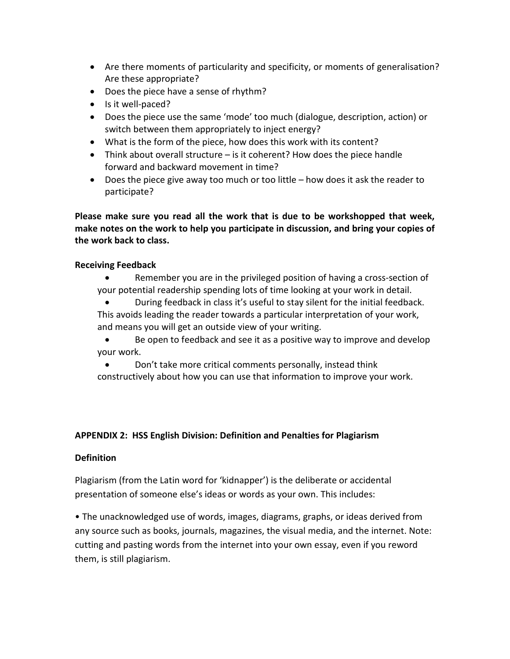- Are there moments of particularity and specificity, or moments of generalisation? Are these appropriate?
- Does the piece have a sense of rhythm?
- Is it well-paced?
- Does the piece use the same 'mode' too much (dialogue, description, action) or switch between them appropriately to inject energy?
- What is the form of the piece, how does this work with its content?
- Think about overall structure is it coherent? How does the piece handle forward and backward movement in time?
- Does the piece give away too much or too little how does it ask the reader to participate?

**Please make sure you read all the work that is due to be workshopped that week, make notes on the work to help you participate in discussion, and bring your copies of the work back to class.** 

### **Receiving Feedback**

- Remember you are in the privileged position of having a cross-section of your potential readership spending lots of time looking at your work in detail.
- During feedback in class it's useful to stay silent for the initial feedback. This avoids leading the reader towards a particular interpretation of your work, and means you will get an outside view of your writing.
- Be open to feedback and see it as a positive way to improve and develop your work.
- Don't take more critical comments personally, instead think constructively about how you can use that information to improve your work.

# **APPENDIX 2: HSS English Division: Definition and Penalties for Plagiarism**

# **Definition**

Plagiarism (from the Latin word for 'kidnapper') is the deliberate or accidental presentation of someone else's ideas or words as your own. This includes:

• The unacknowledged use of words, images, diagrams, graphs, or ideas derived from any source such as books, journals, magazines, the visual media, and the internet. Note: cutting and pasting words from the internet into your own essay, even if you reword them, is still plagiarism.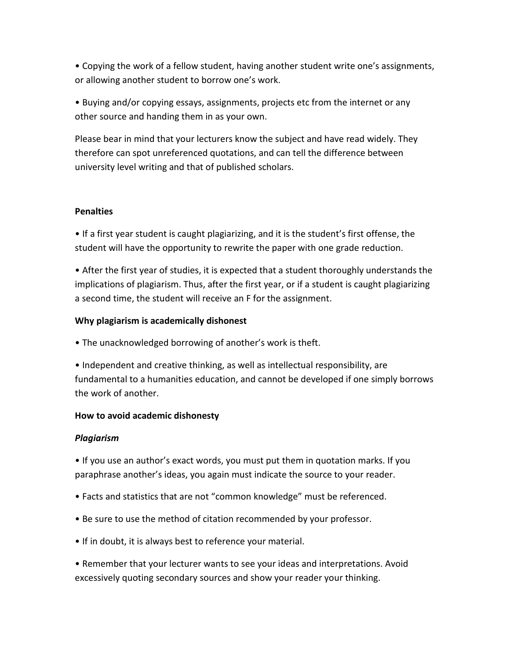• Copying the work of a fellow student, having another student write one's assignments, or allowing another student to borrow one's work.

• Buying and/or copying essays, assignments, projects etc from the internet or any other source and handing them in as your own.

Please bear in mind that your lecturers know the subject and have read widely. They therefore can spot unreferenced quotations, and can tell the difference between university level writing and that of published scholars.

#### **Penalties**

• If a first year student is caught plagiarizing, and it is the student's first offense, the student will have the opportunity to rewrite the paper with one grade reduction.

• After the first year of studies, it is expected that a student thoroughly understands the implications of plagiarism. Thus, after the first year, or if a student is caught plagiarizing a second time, the student will receive an F for the assignment.

# **Why plagiarism is academically dishonest**

• The unacknowledged borrowing of another's work is theft.

• Independent and creative thinking, as well as intellectual responsibility, are fundamental to a humanities education, and cannot be developed if one simply borrows the work of another.

# **How to avoid academic dishonesty**

# *Plagiarism*

• If you use an author's exact words, you must put them in quotation marks. If you paraphrase another's ideas, you again must indicate the source to your reader.

- Facts and statistics that are not "common knowledge" must be referenced.
- Be sure to use the method of citation recommended by your professor.
- If in doubt, it is always best to reference your material.

• Remember that your lecturer wants to see your ideas and interpretations. Avoid excessively quoting secondary sources and show your reader your thinking.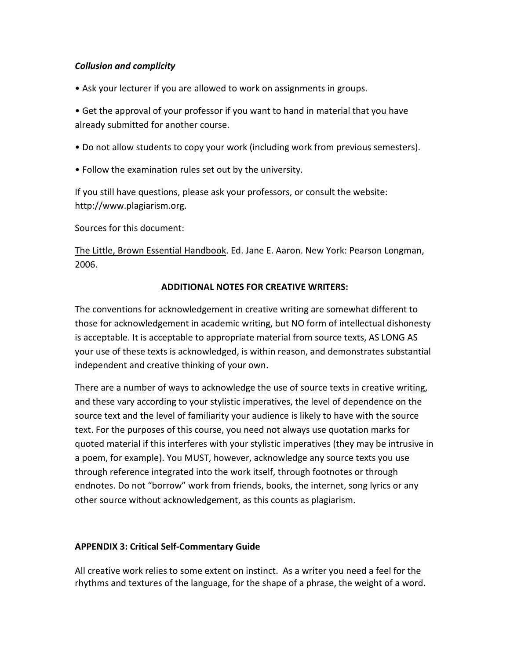### *Collusion and complicity*

• Ask your lecturer if you are allowed to work on assignments in groups.

• Get the approval of your professor if you want to hand in material that you have already submitted for another course.

- Do not allow students to copy your work (including work from previous semesters).
- Follow the examination rules set out by the university.

If you still have questions, please ask your professors, or consult the website: http://www.plagiarism.org.

Sources for this document:

The Little, Brown Essential Handbook. Ed. Jane E. Aaron. New York: Pearson Longman, 2006.

### **ADDITIONAL NOTES FOR CREATIVE WRITERS:**

The conventions for acknowledgement in creative writing are somewhat different to those for acknowledgement in academic writing, but NO form of intellectual dishonesty is acceptable. It is acceptable to appropriate material from source texts, AS LONG AS your use of these texts is acknowledged, is within reason, and demonstrates substantial independent and creative thinking of your own.

There are a number of ways to acknowledge the use of source texts in creative writing, and these vary according to your stylistic imperatives, the level of dependence on the source text and the level of familiarity your audience is likely to have with the source text. For the purposes of this course, you need not always use quotation marks for quoted material if this interferes with your stylistic imperatives (they may be intrusive in a poem, for example). You MUST, however, acknowledge any source texts you use through reference integrated into the work itself, through footnotes or through endnotes. Do not "borrow" work from friends, books, the internet, song lyrics or any other source without acknowledgement, as this counts as plagiarism.

# **APPENDIX 3: Critical Self-Commentary Guide**

All creative work relies to some extent on instinct. As a writer you need a feel for the rhythms and textures of the language, for the shape of a phrase, the weight of a word.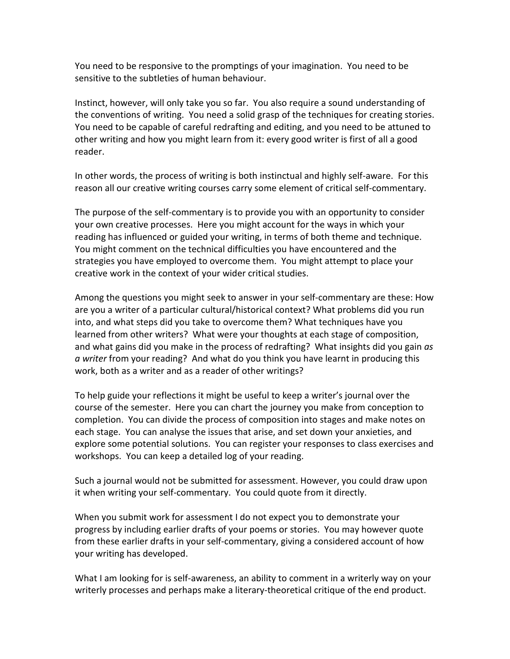You need to be responsive to the promptings of your imagination. You need to be sensitive to the subtleties of human behaviour.

Instinct, however, will only take you so far. You also require a sound understanding of the conventions of writing. You need a solid grasp of the techniques for creating stories. You need to be capable of careful redrafting and editing, and you need to be attuned to other writing and how you might learn from it: every good writer is first of all a good reader.

In other words, the process of writing is both instinctual and highly self-aware. For this reason all our creative writing courses carry some element of critical self-commentary.

The purpose of the self-commentary is to provide you with an opportunity to consider your own creative processes. Here you might account for the ways in which your reading has influenced or guided your writing, in terms of both theme and technique. You might comment on the technical difficulties you have encountered and the strategies you have employed to overcome them. You might attempt to place your creative work in the context of your wider critical studies.

Among the questions you might seek to answer in your self-commentary are these: How are you a writer of a particular cultural/historical context? What problems did you run into, and what steps did you take to overcome them? What techniques have you learned from other writers? What were your thoughts at each stage of composition, and what gains did you make in the process of redrafting? What insights did you gain *as a writer* from your reading? And what do you think you have learnt in producing this work, both as a writer and as a reader of other writings?

To help guide your reflections it might be useful to keep a writer's journal over the course of the semester. Here you can chart the journey you make from conception to completion. You can divide the process of composition into stages and make notes on each stage. You can analyse the issues that arise, and set down your anxieties, and explore some potential solutions. You can register your responses to class exercises and workshops. You can keep a detailed log of your reading.

Such a journal would not be submitted for assessment. However, you could draw upon it when writing your self-commentary. You could quote from it directly.

When you submit work for assessment I do not expect you to demonstrate your progress by including earlier drafts of your poems or stories. You may however quote from these earlier drafts in your self-commentary, giving a considered account of how your writing has developed.

What I am looking for is self-awareness, an ability to comment in a writerly way on your writerly processes and perhaps make a literary-theoretical critique of the end product.